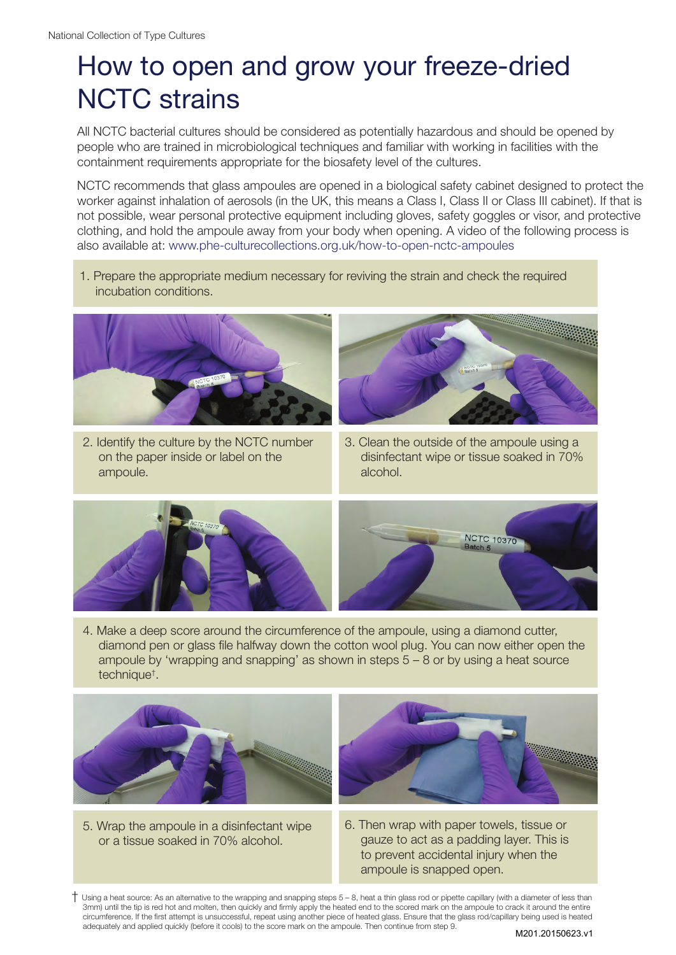## How to open and grow your freeze-dried NCTC strains

All NCTC bacterial cultures should be considered as potentially hazardous and should be opened by people who are trained in microbiological techniques and familiar with working in facilities with the containment requirements appropriate for the biosafety level of the cultures.

NCTC recommends that glass ampoules are opened in a biological safety cabinet designed to protect the worker against inhalation of aerosols (in the UK, this means a Class I, Class II or Class III cabinet). If that is not possible, wear personal protective equipment including gloves, safety goggles or visor, and protective clothing, and hold the ampoule away from your body when opening. A video of the following process is also available at: www.phe-culturecollections.org.uk/how-to-open-nctc-ampoules

1. Prepare the appropriate medium necessary for reviving the strain and check the required incubation conditions.



2. Identify the culture by the NCTC number on the paper inside or label on the ampoule.



3. Clean the outside of the ampoule using a disinfectant wipe or tissue soaked in 70% alcohol.



4. Make a deep score around the circumference of the ampoule, using a diamond cutter, diamond pen or glass file halfway down the cotton wool plug. You can now either open the ampoule by 'wrapping and snapping' as shown in steps  $5 - 8$  or by using a heat source technique† .



5. Wrap the ampoule in a disinfectant wipe or a tissue soaked in 70% alcohol.



6. Then wrap with paper towels, tissue or gauze to act as a padding layer. This is to prevent accidental injury when the ampoule is snapped open.

 $^+$  Using a heat source: As an alternative to the wrapping and snapping steps 5 – 8, heat a thin glass rod or pipette capillary (with a diameter of less than 3mm) until the tip is red hot and molten, then quickly and firmly apply the heated end to the scored mark on the ampoule to crack it around the entire circumference. If the first attempt is unsuccessful, repeat using another piece of heated glass. Ensure that the glass rod/capillary being used is heated adequately and applied quickly (before it cools) to the score mark on the ampoule. Then continue from step 9.